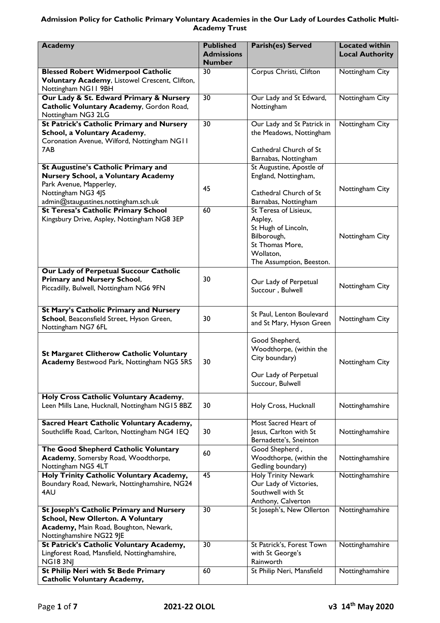# **Admission Policy for Catholic Primary Voluntary Academies in the Our Lady of Lourdes Catholic Multi-Academy Trust**

| <b>Academy</b>                                                                                                                                            | <b>Published</b><br><b>Admissions</b><br><b>Number</b> | Parish(es) Served                                                                                         | <b>Located within</b><br><b>Local Authority</b> |
|-----------------------------------------------------------------------------------------------------------------------------------------------------------|--------------------------------------------------------|-----------------------------------------------------------------------------------------------------------|-------------------------------------------------|
| <b>Blessed Robert Widmerpool Catholic</b><br>Voluntary Academy, Listowel Crescent, Clifton,<br>Nottingham NG11 9BH                                        | 30                                                     | Corpus Christi, Clifton                                                                                   | Nottingham City                                 |
| Our Lady & St. Edward Primary & Nursery<br>Catholic Voluntary Academy, Gordon Road,<br>Nottingham NG3 2LG                                                 | 30                                                     | Our Lady and St Edward,<br>Nottingham                                                                     | Nottingham City                                 |
| <b>St Patrick's Catholic Primary and Nursery</b><br>School, a Voluntary Academy,<br>Coronation Avenue, Wilford, Nottingham NG11<br>7AB.                   | 30                                                     | Our Lady and St Patrick in<br>the Meadows, Nottingham<br>Cathedral Church of St                           | Nottingham City                                 |
| <b>St Augustine's Catholic Primary and</b>                                                                                                                |                                                        | Barnabas, Nottingham<br>St Augustine, Apostle of                                                          |                                                 |
| <b>Nursery School, a Voluntary Academy</b><br>Park Avenue, Mapperley,                                                                                     | 45                                                     | England, Nottingham,                                                                                      | Nottingham City                                 |
| Nottingham NG3 4JS<br>admin@staugustines.nottingham.sch.uk<br><b>St Teresa's Catholic Primary School</b>                                                  | 60                                                     | Cathedral Church of St<br>Barnabas, Nottingham<br>St Teresa of Lisieux,                                   |                                                 |
| Kingsbury Drive, Aspley, Nottingham NG8 3EP                                                                                                               |                                                        | Aspley,<br>St Hugh of Lincoln,<br>Bilborough,<br>St Thomas More,<br>Wollaton,<br>The Assumption, Beeston. | Nottingham City                                 |
| Our Lady of Perpetual Succour Catholic<br><b>Primary and Nursery School,</b><br>Piccadilly, Bulwell, Nottingham NG6 9FN                                   | 30                                                     | Our Lady of Perpetual<br>Succour, Bulwell                                                                 | Nottingham City                                 |
| St Mary's Catholic Primary and Nursery<br>School, Beaconsfield Street, Hyson Green,<br>Nottingham NG7 6FL                                                 | 30                                                     | St Paul, Lenton Boulevard<br>and St Mary, Hyson Green                                                     | Nottingham City                                 |
| <b>St Margaret Clitherow Catholic Voluntary</b><br><b>Academy Bestwood Park, Nottingham NG5 5RS</b>                                                       | 30                                                     | Good Shepherd,<br>Woodthorpe, (within the<br>City boundary)<br>Our Lady of Perpetual<br>Succour, Bulwell  | Nottingham City                                 |
| Holy Cross Catholic Voluntary Academy,<br>Leen Mills Lane, Hucknall, Nottingham NG15 8BZ                                                                  | 30                                                     | Holy Cross, Hucknall                                                                                      | Nottinghamshire                                 |
| Sacred Heart Catholic Voluntary Academy,<br>Southcliffe Road, Carlton, Nottingham NG4 IEQ                                                                 | 30                                                     | Most Sacred Heart of<br>Jesus, Carlton with St<br>Bernadette's, Sneinton                                  | Nottinghamshire                                 |
| The Good Shepherd Catholic Voluntary<br>Academy, Somersby Road, Woodthorpe,<br>Nottingham NG5 4LT                                                         | 60                                                     | Good Shepherd,<br>Woodthorpe, (within the<br>Gedling boundary)                                            | Nottinghamshire                                 |
| Holy Trinity Catholic Voluntary Academy,<br>Boundary Road, Newark, Nottinghamshire, NG24<br>4AU                                                           | 45                                                     | <b>Holy Trinity Newark</b><br>Our Lady of Victories,<br>Southwell with St<br>Anthony, Calverton           | Nottinghamshire                                 |
| St Joseph's Catholic Primary and Nursery<br><b>School, New Ollerton. A Voluntary</b><br>Academy, Main Road, Boughton, Newark,<br>Nottinghamshire NG22 9JE | $\overline{30}$                                        | St Joseph's, New Ollerton                                                                                 | Nottinghamshire                                 |
| St Patrick's Catholic Voluntary Academy,<br>Lingforest Road, Mansfield, Nottinghamshire,<br><b>NG183NJ</b>                                                | $\overline{30}$                                        | St Patrick's, Forest Town<br>with St George's<br>Rainworth                                                | Nottinghamshire                                 |
| St Philip Neri with St Bede Primary<br><b>Catholic Voluntary Academy,</b>                                                                                 | 60                                                     | St Philip Neri, Mansfield                                                                                 | Nottinghamshire                                 |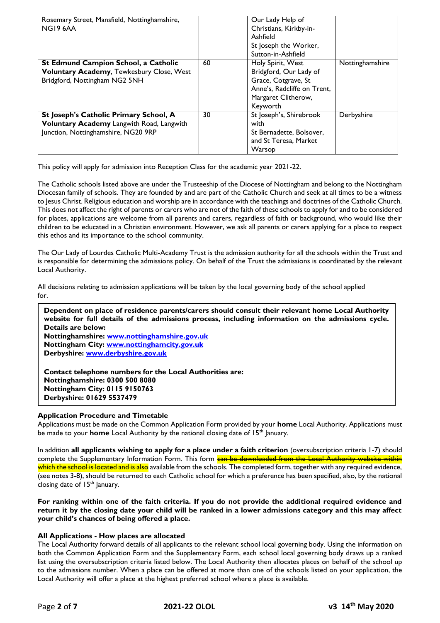| Rosemary Street, Mansfield, Nottinghamshire,<br>NG19 6AA |    | Our Lady Help of<br>Christians, Kirkby-in-<br>Ashfield<br>St Joseph the Worker,<br>Sutton-in-Ashfield |                 |
|----------------------------------------------------------|----|-------------------------------------------------------------------------------------------------------|-----------------|
| St Edmund Campion School, a Catholic                     | 60 | Holy Spirit, West                                                                                     | Nottinghamshire |
| Voluntary Academy, Tewkesbury Close, West                |    | Bridgford, Our Lady of                                                                                |                 |
| Bridgford, Nottingham NG2 5NH                            |    | Grace, Cotgrave, St                                                                                   |                 |
|                                                          |    | Anne's, Radcliffe on Trent,                                                                           |                 |
|                                                          |    | Margaret Clitherow,                                                                                   |                 |
|                                                          |    | Keyworth                                                                                              |                 |
| St Joseph's Catholic Primary School, A                   | 30 | St Joseph's, Shirebrook                                                                               | Derbyshire      |
| Voluntary Academy Langwith Road, Langwith                |    | with                                                                                                  |                 |
| Junction, Nottinghamshire, NG20 9RP                      |    | St Bernadette, Bolsover,                                                                              |                 |
|                                                          |    | and St Teresa, Market                                                                                 |                 |
|                                                          |    | Warsop                                                                                                |                 |

This policy will apply for admission into Reception Class for the academic year 2021-22.

The Catholic schools listed above are under the Trusteeship of the Diocese of Nottingham and belong to the Nottingham Diocesan family of schools. They are founded by and are part of the Catholic Church and seek at all times to be a witness to Jesus Christ. Religious education and worship are in accordance with the teachings and doctrines of the Catholic Church. This does not affect the right of parents or carers who are not of the faith of these schools to apply for and to be considered for places, applications are welcome from all parents and carers, regardless of faith or background, who would like their children to be educated in a Christian environment. However, we ask all parents or carers applying for a place to respect this ethos and its importance to the school community.

The Our Lady of Lourdes Catholic Multi-Academy Trust is the admission authority for all the schools within the Trust and is responsible for determining the admissions policy. On behalf of the Trust the admissions is coordinated by the relevant Local Authority.

All decisions relating to admission applications will be taken by the local governing body of the school applied for.

| Dependent on place of residence parents/carers should consult their relevant home Local Authority<br>website for full details of the admissions process, including information on the admissions cycle. |
|---------------------------------------------------------------------------------------------------------------------------------------------------------------------------------------------------------|
| Details are below:                                                                                                                                                                                      |
| Nottinghamshire: www.nottinghamshire.gov.uk                                                                                                                                                             |
| Nottingham City: www.nottinghamcity.gov.uk                                                                                                                                                              |
| Derbyshire: www.derbyshire.gov.uk                                                                                                                                                                       |
| Contact telephone numbers for the Local Authorities are:                                                                                                                                                |

**Nottinghamshire: 0300 500 8080 Nottingham City: 0115 9150763 Derbyshire: 01629 5537479**

# **Application Procedure and Timetable**

Applications must be made on the Common Application Form provided by your **home** Local Authority. Applications must be made to your **home** Local Authority by the national closing date of 15<sup>th</sup> January.

In addition **all applicants wishing to apply for a place under a faith criterion** (oversubscription criteria 1-7) should complete the Supplementary Information Form. This form can be downloaded from the Local Authority website within which the school is located and is also available from the schools. The completed form, together with any required evidence, (see notes 3-8), should be returned to each Catholic school for which a preference has been specified, also, by the national closing date of 15<sup>th</sup> January.

**For ranking within one of the faith criteria. If you do not provide the additional required evidence and return it by the closing date your child will be ranked in a lower admissions category and this may affect your child's chances of being offered a place.**

## **All Applications - How places are allocated**

The Local Authority forward details of all applicants to the relevant school local governing body. Using the information on both the Common Application Form and the Supplementary Form, each school local governing body draws up a ranked list using the oversubscription criteria listed below. The Local Authority then allocates places on behalf of the school up to the admissions number. When a place can be offered at more than one of the schools listed on your application, the Local Authority will offer a place at the highest preferred school where a place is available.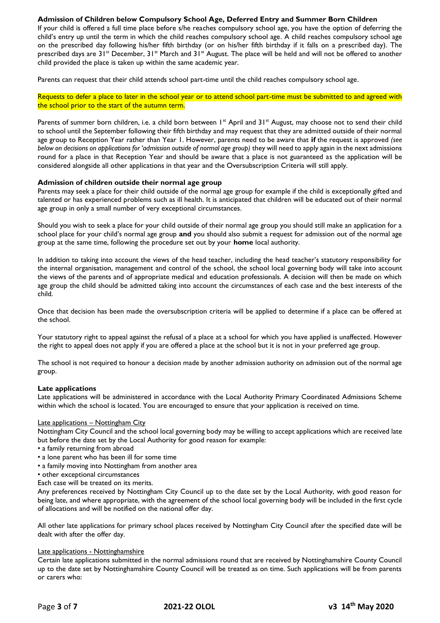# **Admission of Children below Compulsory School Age, Deferred Entry and Summer Born Children**

If your child is offered a full time place before s/he reaches compulsory school age, you have the option of deferring the child's entry up until the term in which the child reaches compulsory school age. A child reaches compulsory school age on the prescribed day following his/her fifth birthday (or on his/her fifth birthday if it falls on a prescribed day). The prescribed days are  $31^s$  December,  $31^s$  March and  $31^s$  August. The place will be held and will not be offered to another child provided the place is taken up within the same academic year.

Parents can request that their child attends school part-time until the child reaches compulsory school age.

Requests to defer a place to later in the school year or to attend school part-time must be submitted to and agreed with the school prior to the start of the autumn term.

Parents of summer born children, i.e. a child born between  $1<sup>st</sup>$  April and  $31<sup>st</sup>$  August, may choose not to send their child to school until the September following their fifth birthday and may request that they are admitted outside of their normal age group to Reception Year rather than Year 1. However, parents need to be aware that **if** the request is approved *(see below on decisions on applications for 'admission outside of normal age group*) they will need to apply again in the next admissions round for a place in that Reception Year and should be aware that a place is not guaranteed as the application will be considered alongside all other applications in that year and the Oversubscription Criteria will still apply.

## **Admission of children outside their normal age group**

Parents may seek a place for their child outside of the normal age group for example if the child is exceptionally gifted and talented or has experienced problems such as ill health. It is anticipated that children will be educated out of their normal age group in only a small number of very exceptional circumstances.

Should you wish to seek a place for your child outside of their normal age group you should still make an application for a school place for your child's normal age group **and** you should also submit a request for admission out of the normal age group at the same time, following the procedure set out by your **home** local authority.

In addition to taking into account the views of the head teacher, including the head teacher's statutory responsibility for the internal organisation, management and control of the school, the school local governing body will take into account the views of the parents and of appropriate medical and education professionals. A decision will then be made on which age group the child should be admitted taking into account the circumstances of each case and the best interests of the child.

Once that decision has been made the oversubscription criteria will be applied to determine if a place can be offered at the school.

Your statutory right to appeal against the refusal of a place at a school for which you have applied is unaffected. However the right to appeal does not apply if you are offered a place at the school but it is not in your preferred age group.

The school is not required to honour a decision made by another admission authority on admission out of the normal age group.

## **Late applications**

Late applications will be administered in accordance with the Local Authority Primary Coordinated Admissions Scheme within which the school is located. You are encouraged to ensure that your application is received on time.

## Late applications - Nottingham City

Nottingham City Council and the school local governing body may be willing to accept applications which are received late but before the date set by the Local Authority for good reason for example:

- a family returning from abroad
- a lone parent who has been ill for some time
- a family moving into Nottingham from another area
- other exceptional circumstances
- Each case will be treated on its merits.

Any preferences received by Nottingham City Council up to the date set by the Local Authority, with good reason for being late, and where appropriate, with the agreement of the school local governing body will be included in the first cycle of allocations and will be notified on the national offer day.

All other late applications for primary school places received by Nottingham City Council after the specified date will be dealt with after the offer day.

#### Late applications - Nottinghamshire

Certain late applications submitted in the normal admissions round that are received by Nottinghamshire County Council up to the date set by Nottinghamshire County Council will be treated as on time. Such applications will be from parents or carers who: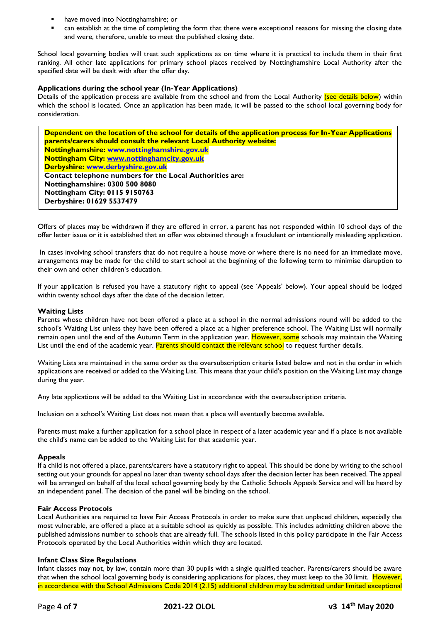- have moved into Nottinghamshire; or
- can establish at the time of completing the form that there were exceptional reasons for missing the closing date and were, therefore, unable to meet the published closing date.

School local governing bodies will treat such applications as on time where it is practical to include them in their first ranking. All other late applications for primary school places received by Nottinghamshire Local Authority after the specified date will be dealt with after the offer day.

## **Applications during the school year (In-Year Applications)**

Details of the application process are available from the school and from the Local Authority (see details below) within which the school is located. Once an application has been made, it will be passed to the school local governing body for consideration.

**Dependent on the location of the school for details of the application process for In-Year Applications parents/carers should consult the relevant Local Authority website: Nottinghamshire: [www.nottinghamshire.gov.uk](http://www.nottinghamshire.gov.uk/) Nottingham City: [www.nottinghamcity.gov.uk](http://www.nottinghamcity.gov.uk/) Derbyshire: [www.derbyshire.gov.uk](http://www.derbyshire.gov.uk/) Contact telephone numbers for the Local Authorities are: Nottinghamshire: 0300 500 8080 Nottingham City: 0115 9150763 Derbyshire: 01629 5537479**

Offers of places may be withdrawn if they are offered in error, a parent has not responded within 10 school days of the offer letter issue or it is established that an offer was obtained through a fraudulent or intentionally misleading application.

In cases involving school transfers that do not require a house move or where there is no need for an immediate move, arrangements may be made for the child to start school at the beginning of the following term to minimise disruption to their own and other children's education.

If your application is refused you have a statutory right to appeal (see 'Appeals' below). Your appeal should be lodged within twenty school days after the date of the decision letter.

## **Waiting Lists**

Parents whose children have not been offered a place at a school in the normal admissions round will be added to the school's Waiting List unless they have been offered a place at a higher preference school. The Waiting List will normally remain open until the end of the Autumn Term in the application year. However, some schools may maintain the Waiting List until the end of the academic year. Parents should contact the relevant school to request further details.

Waiting Lists are maintained in the same order as the oversubscription criteria listed below and not in the order in which applications are received or added to the Waiting List. This means that your child's position on the Waiting List may change during the year.

Any late applications will be added to the Waiting List in accordance with the oversubscription criteria.

Inclusion on a school's Waiting List does not mean that a place will eventually become available.

Parents must make a further application for a school place in respect of a later academic year and if a place is not available the child's name can be added to the Waiting List for that academic year.

#### **Appeals**

If a child is not offered a place, parents/carers have a statutory right to appeal. This should be done by writing to the school setting out your grounds for appeal no later than twenty school days after the decision letter has been received. The appeal will be arranged on behalf of the local school governing body by the Catholic Schools Appeals Service and will be heard by an independent panel. The decision of the panel will be binding on the school.

#### **Fair Access Protocols**

Local Authorities are required to have Fair Access Protocols in order to make sure that unplaced children, especially the most vulnerable, are offered a place at a suitable school as quickly as possible. This includes admitting children above the published admissions number to schools that are already full. The schools listed in this policy participate in the Fair Access Protocols operated by the Local Authorities within which they are located.

#### **Infant Class Size Regulations**

Infant classes may not, by law, contain more than 30 pupils with a single qualified teacher. Parents/carers should be aware that when the school local governing body is considering applications for places, they must keep to the 30 limit. However, in accordance with the School Admissions Code 2014 (2.15) additional children may be admitted under limited exceptional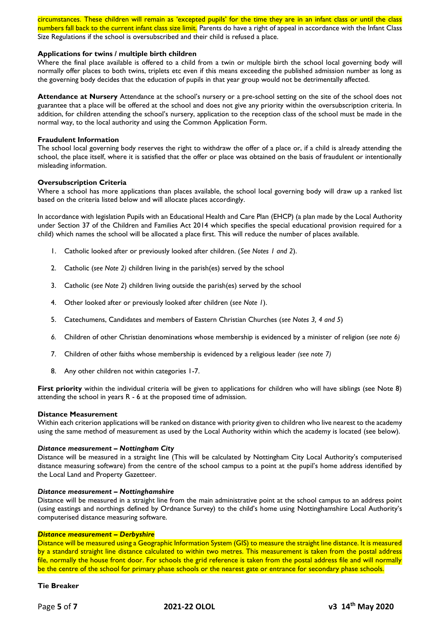circumstances. These children will remain as 'excepted pupils' for the time they are in an infant class or until the class numbers fall back to the current infant class size limit. Parents do have a right of appeal in accordance with the Infant Class Size Regulations if the school is oversubscribed and their child is refused a place.

### **Applications for twins / multiple birth children**

Where the final place available is offered to a child from a twin or multiple birth the school local governing body will normally offer places to both twins, triplets etc even if this means exceeding the published admission number as long as the governing body decides that the education of pupils in that year group would not be detrimentally affected.

**Attendance at Nursery** Attendance at the school's nursery or a pre-school setting on the site of the school does not guarantee that a place will be offered at the school and does not give any priority within the oversubscription criteria. In addition, for children attending the school's nursery, application to the reception class of the school must be made in the normal way, to the local authority and using the Common Application Form.

#### **Fraudulent Information**

The school local governing body reserves the right to withdraw the offer of a place or, if a child is already attending the school, the place itself, where it is satisfied that the offer or place was obtained on the basis of fraudulent or intentionally misleading information.

### **Oversubscription Criteria**

Where a school has more applications than places available, the school local governing body will draw up a ranked list based on the criteria listed below and will allocate places accordingly.

In accordance with legislation Pupils with an Educational Health and Care Plan (EHCP) (a plan made by the Local Authority under Section 37 of the Children and Families Act 2014 which specifies the special educational provision required for a child) which names the school will be allocated a place first. This will reduce the number of places available.

- 1. Catholic looked after or previously looked after children. (*See Notes 1 and 2*).
- 2. Catholic (*see Note 2)* children living in the parish(es) served by the school
- 3. Catholic (*see Note 2*) children living outside the parish(es) served by the school
- 4. Other looked after or previously looked after children (*see Note 1*).
- 5. Catechumens, Candidates and members of Eastern Christian Churches (*see Notes 3, 4 and 5*)
- *6.* Children of other Christian denominations whose membership is evidenced by a minister of religion (*see note 6)*
- 7. Children of other faiths whose membership is evidenced by a religious leader *(see note 7)*
- 8. Any other children not within categories 1-7.

**First priority** within the individual criteria will be given to applications for children who will have siblings (see Note 8) attending the school in years R - 6 at the proposed time of admission.

#### **Distance Measurement**

Within each criterion applications will be ranked on distance with priority given to children who live nearest to the academy using the same method of measurement as used by the Local Authority within which the academy is located (see below).

#### *Distance measurement – Nottingham City*

Distance will be measured in a straight line (This will be calculated by Nottingham City Local Authority's computerised distance measuring software) from the centre of the school campus to a point at the pupil's home address identified by the Local Land and Property Gazetteer.

#### *Distance measurement – Nottinghamshire*

Distance will be measured in a straight line from the main administrative point at the school campus to an address point (using eastings and northings defined by Ordnance Survey) to the child's home using Nottinghamshire Local Authority's computerised distance measuring software.

#### *Distance measurement – Derbyshire*

Distance will be measured using a Geographic Information System (GIS) to measure the straight line distance. It is measured by a standard straight line distance calculated to within two metres. This measurement is taken from the postal address file, normally the house front door. For schools the grid reference is taken from the postal address file and will normally be the centre of the school for primary phase schools or the nearest gate or entrance for secondary phase schools.

### **Tie Breaker**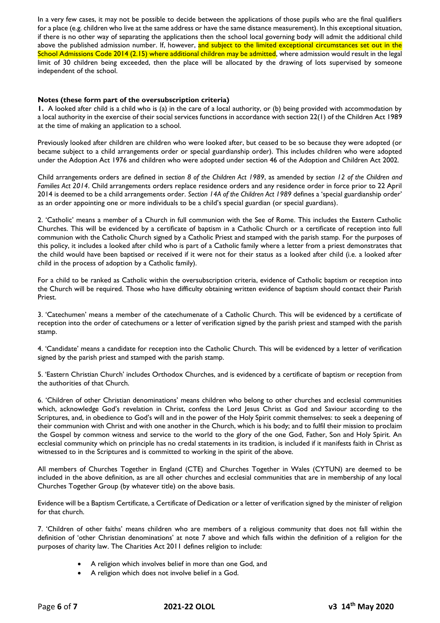In a very few cases, it may not be possible to decide between the applications of those pupils who are the final qualifiers for a place (e.g. children who live at the same address or have the same distance measurement). In this exceptional situation, if there is no other way of separating the applications then the school local governing body will admit the additional child above the published admission number. If, however, and subject to the limited exceptional circumstances set out in the School Admissions Code 2014 (2.15) where additional children may be admitted, where admission would result in the legal limit of 30 children being exceeded, then the place will be allocated by the drawing of lots supervised by someone independent of the school.

# **Notes (these form part of the oversubscription criteria)**

**1.** A looked after child is a child who is (a) in the care of a local authority, or (b) being provided with accommodation by a local authority in the exercise of their social services functions in accordance with section 22(1) of the Children Act 1989 at the time of making an application to a school.

Previously looked after children are children who were looked after, but ceased to be so because they were adopted (or became subject to a child arrangements order or special guardianship order). This includes children who were adopted under the Adoption Act 1976 and children who were adopted under section 46 of the Adoption and Children Act 2002.

Child arrangements orders are defined in *section 8 of the Children Act 1989*, as amended by *section 12 of the Children and Families Act 2014*. Child arrangements orders replace residence orders and any residence order in force prior to 22 April 2014 is deemed to be a child arrangements order. *Section 14A of the Children Act 1989* defines a 'special guardianship order' as an order appointing one or more individuals to be a child's special guardian (or special guardians).

2. 'Catholic' means a member of a Church in full communion with the See of Rome. This includes the Eastern Catholic Churches. This will be evidenced by a certificate of baptism in a Catholic Church or a certificate of reception into full communion with the Catholic Church signed by a Catholic Priest and stamped with the parish stamp. For the purposes of this policy, it includes a looked after child who is part of a Catholic family where a letter from a priest demonstrates that the child would have been baptised or received if it were not for their status as a looked after child (i.e. a looked after child in the process of adoption by a Catholic family).

For a child to be ranked as Catholic within the oversubscription criteria, evidence of Catholic baptism or reception into the Church will be required. Those who have difficulty obtaining written evidence of baptism should contact their Parish Priest.

3. 'Catechumen' means a member of the catechumenate of a Catholic Church. This will be evidenced by a certificate of reception into the order of catechumens or a letter of verification signed by the parish priest and stamped with the parish stamp.

4. 'Candidate' means a candidate for reception into the Catholic Church. This will be evidenced by a letter of verification signed by the parish priest and stamped with the parish stamp.

5. 'Eastern Christian Church' includes Orthodox Churches, and is evidenced by a certificate of baptism or reception from the authorities of that Church.

6. 'Children of other Christian denominations' means children who belong to other churches and ecclesial communities which, acknowledge God's revelation in Christ, confess the Lord Jesus Christ as God and Saviour according to the Scriptures, and, in obedience to God's will and in the power of the Holy Spirit commit themselves: to seek a deepening of their communion with Christ and with one another in the Church, which is his body; and to fulfil their mission to proclaim the Gospel by common witness and service to the world to the glory of the one God, Father, Son and Holy Spirit. An ecclesial community which on principle has no credal statements in its tradition, is included if it manifests faith in Christ as witnessed to in the Scriptures and is committed to working in the spirit of the above.

All members of Churches Together in England (CTE) and Churches Together in Wales (CYTUN) are deemed to be included in the above definition, as are all other churches and ecclesial communities that are in membership of any local Churches Together Group (by whatever title) on the above basis.

Evidence will be a Baptism Certificate, a Certificate of Dedication or a letter of verification signed by the minister of religion for that church.

7. 'Children of other faiths' means children who are members of a religious community that does not fall within the definition of 'other Christian denominations' at note 7 above and which falls within the definition of a religion for the purposes of charity law. The Charities Act 2011 defines religion to include:

- A religion which involves belief in more than one God, and
- A religion which does not involve belief in a God.